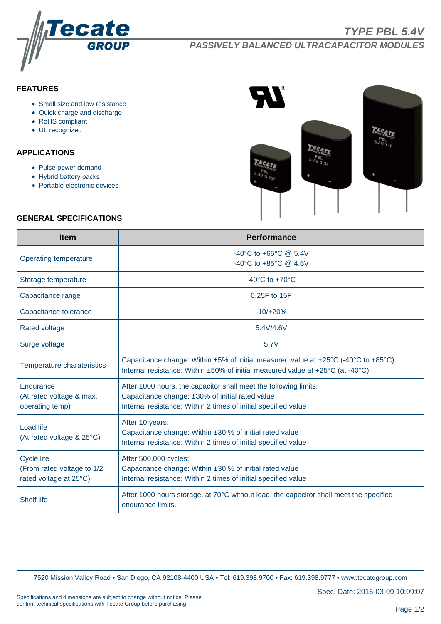

**PASSIVELY BALANCED ULTRACAPACITOR MODULES**

## **FEATURES**

- Small size and low resistance
- Quick charge and discharge
- RoHS compliant
- UL recognized

# **APPLICATIONS**

- Pulse power demand
- Hybrid battery packs
- Portable electronic devices



#### **GENERAL SPECIFICATIONS**

| <b>Item</b>                                                         | <b>Performance</b>                                                                                                                                                                    |  |  |  |
|---------------------------------------------------------------------|---------------------------------------------------------------------------------------------------------------------------------------------------------------------------------------|--|--|--|
| Operating temperature                                               | -40°C to +65°C @ 5.4V<br>-40°C to +85°C $@$ 4.6V                                                                                                                                      |  |  |  |
| Storage temperature                                                 | $-40^{\circ}$ C to $+70^{\circ}$ C                                                                                                                                                    |  |  |  |
| Capacitance range                                                   | 0.25F to 15F                                                                                                                                                                          |  |  |  |
| Capacitance tolerance                                               | $-10/+20%$                                                                                                                                                                            |  |  |  |
| <b>Rated voltage</b>                                                | 5.4V/4.6V                                                                                                                                                                             |  |  |  |
| Surge voltage                                                       | 5.7V                                                                                                                                                                                  |  |  |  |
| Temperature charateristics                                          | Capacitance change: Within ±5% of initial measured value at +25°C (-40°C to +85°C)<br>Internal resistance: Within ±50% of initial measured value at +25°C (at -40°C)                  |  |  |  |
| Endurance<br>(At rated voltage & max.<br>operating temp)            | After 1000 hours, the capacitor shall meet the following limits:<br>Capacitance change: ±30% of initial rated value<br>Internal resistance: Within 2 times of initial specified value |  |  |  |
| <b>Load life</b><br>(At rated voltage & 25°C)                       | After 10 years:<br>Capacitance change: Within ±30 % of initial rated value<br>Internal resistance: Within 2 times of initial specified value                                          |  |  |  |
| Cycle life<br>(From rated voltage to 1/2)<br>rated voltage at 25°C) | After 500,000 cycles:<br>Capacitance change: Within $\pm 30$ % of initial rated value<br>Internal resistance: Within 2 times of initial specified value                               |  |  |  |
| <b>Shelf life</b>                                                   | After 1000 hours storage, at 70°C without load, the capacitor shall meet the specified<br>endurance limits.                                                                           |  |  |  |

7520 Mission Valley Road • San Diego, CA 92108-4400 USA • Tel: 619.398.9700 • Fax: 619.398.9777 • www.tecategroup.com

Spec. Date: 2016-03-09 10:09:07